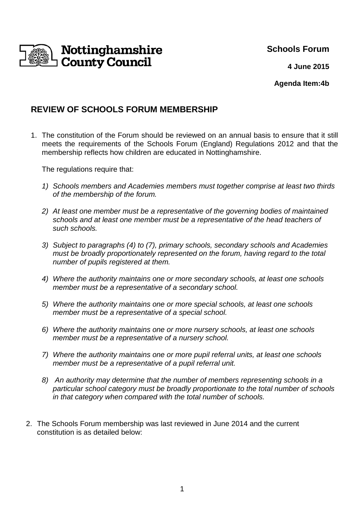

**Schools Forum** 

**4 June 2015**

**Agenda Item:4b**

# **REVIEW OF SCHOOLS FORUM MEMBERSHIP**

1. The constitution of the Forum should be reviewed on an annual basis to ensure that it still meets the requirements of the Schools Forum (England) Regulations 2012 and that the membership reflects how children are educated in Nottinghamshire.

The regulations require that:

- 1) Schools members and Academies members must together comprise at least two thirds of the membership of the forum.
- 2) At least one member must be a representative of the governing bodies of maintained schools and at least one member must be a representative of the head teachers of such schools.
- 3) Subject to paragraphs (4) to (7), primary schools, secondary schools and Academies must be broadly proportionately represented on the forum, having regard to the total number of pupils registered at them.
- 4) Where the authority maintains one or more secondary schools, at least one schools member must be a representative of a secondary school.
- 5) Where the authority maintains one or more special schools, at least one schools member must be a representative of a special school.
- 6) Where the authority maintains one or more nursery schools, at least one schools member must be a representative of a nursery school.
- 7) Where the authority maintains one or more pupil referral units, at least one schools member must be a representative of a pupil referral unit.
- 8) An authority may determine that the number of members representing schools in a particular school category must be broadly proportionate to the total number of schools in that category when compared with the total number of schools.
- 2. The Schools Forum membership was last reviewed in June 2014 and the current constitution is as detailed below: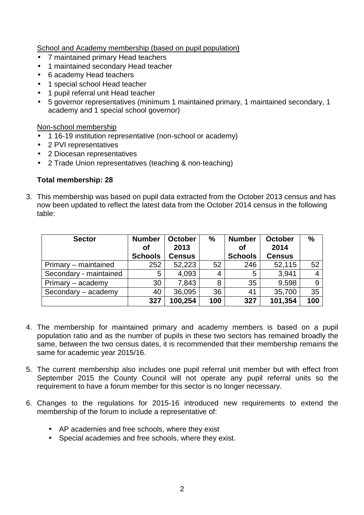School and Academy membership (based on pupil population)

- 7 maintained primary Head teachers
- 1 maintained secondary Head teacher
- 6 academy Head teachers
- 1 special school Head teacher
- 1 pupil referral unit Head teacher
- 5 governor representatives (minimum 1 maintained primary, 1 maintained secondary, 1 academy and 1 special school governor)

Non-school membership

- 1 16-19 institution representative (non-school or academy)
- 2 PVI representatives
- 2 Diocesan representatives
- 2 Trade Union representatives (teaching & non-teaching)

### **Total membership: 28**

3. This membership was based on pupil data extracted from the October 2013 census and has now been updated to reflect the latest data from the October 2014 census in the following table:

| <b>Sector</b>          | <b>Number</b><br>Οf | <b>October</b><br>2013 | %   | <b>Number</b><br>Οf | <b>October</b><br>2014 | $\%$ |
|------------------------|---------------------|------------------------|-----|---------------------|------------------------|------|
|                        | <b>Schools</b>      | <b>Census</b>          |     | <b>Schools</b>      | <b>Census</b>          |      |
| Primary – maintained   | 252                 | 52,223                 | 52  | 246                 | 52,115                 | 52   |
| Secondary - maintained | 5                   | 4,093                  | 4   | 5                   | 3,941                  |      |
| Primary – academy      | 30                  | 7,843                  | 8   | 35                  | 9,598                  | 9    |
| Secondary - academy    | 40                  | 36,095                 | 36  | 41                  | 35,700                 | 35   |
|                        | 327                 | 100,254                | 100 | 327                 | 101,354                | 100  |

- 4. The membership for maintained primary and academy members is based on a pupil population ratio and as the number of pupils in these two sectors has remained broadly the same, between the two census dates, it is recommended that their membership remains the same for academic year 2015/16.
- 5. The current membership also includes one pupil referral unit member but with effect from September 2015 the County Council will not operate any pupil referral units so the requirement to have a forum member for this sector is no longer necessary.
- 6. Changes to the regulations for 2015-16 introduced new requirements to extend the membership of the forum to include a representative of:
	- AP academies and free schools, where they exist
	- Special academies and free schools, where they exist.